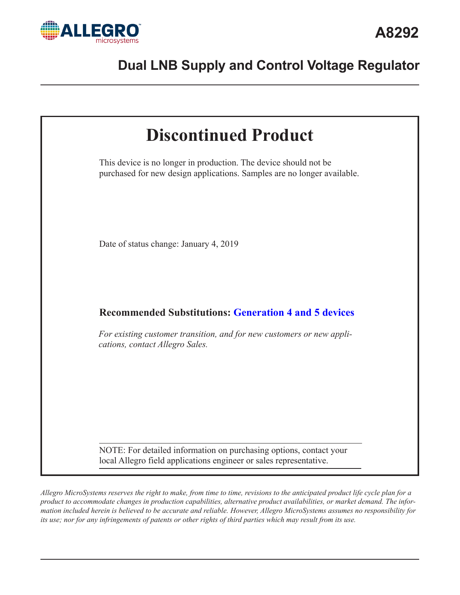



*Allegro MicroSystems reserves the right to make, from time to time, revisions to the anticipated product life cycle plan for a product to accommodate changes in production capabilities, alternative product availabilities, or market demand. The information included herein is believed to be accurate and reliable. However, Allegro MicroSystems assumes no responsibility for its use; nor for any infringements of patents or other rights of third parties which may result from its use.*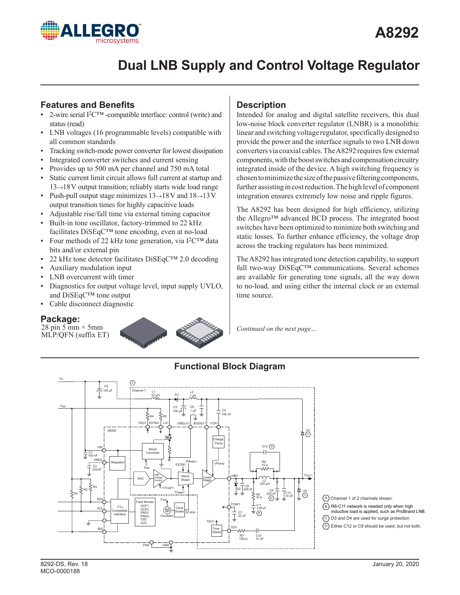

# **Features and Benefits**

- 2-wire serial I<sup>2</sup>C<sup>™</sup> -compatible interface: control (write) and status (read)
- ▪ LNB voltages (16 programmable levels) compatible with all common standards
- Tracking switch-mode power converter for lowest dissipation
- **•** Integrated converter switches and current sensing
- Provides up to 500 mA per channel and 750 mA total
- Static current limit circuit allows full current at startup and 13→18V output transition; reliably starts wide load range
- Push-pull output stage minimizes  $13\rightarrow 18$ V and  $18\rightarrow 13$ V output transition times for highly capacitive loads
- Adjustable rise/fall time via external timing capacitor
- **•** Built-in tone oscillator, factory-trimmed to 22 kHz facilitates DiSEqC™ tone encoding, even at no-load
- Four methods of 22 kHz tone generation, via  $I^2C^{TM}$  data bits and/or external pin
- 22 kHz tone detector facilitates  $\text{DiSEqC}^{TM}$  2.0 decoding
- Auxiliary modulation input
- LNB overcurrent with timer
- Diagnostics for output voltage level, input supply UVLO, and DiSEqC™ tone output
- Cable disconnect diagnostic

# **Package:**

28 pin 5 mm  $\times$  5 mm MLP/QFN (suffix ET)



# **Description**

Intended for analog and digital satellite receivers, this dual low-noise block converter regulator (LNBR) is a monolithic linear and switching voltage regulator, specifically designed to provide the power and the interface signals to two LNB down converters via coaxial cables. The A8292 requires few external components, with the boost switches and compensation circuitry integrated inside of the device. A high switching frequency is chosen to minimize the size of the passive filtering components, further assisting in cost reduction. The high level of component integration ensures extremely low noise and ripple figures.

The A8292 has been designed for high efficiency, utilizing the Allegro™ advanced BCD process. The integrated boost switches have been optimized to minimize both switching and static losses. To further enhance efficiency, the voltage drop across the tracking regulators has been minimized.

The A8292 has integrated tone detection capability, to support full two-way DiSEqC™ communications. Several schemes are available for generating tone signals, all the way down to no-load, and using either the internal clock or an external time source.

*Continued on the next page…*

# **Functional Block Diagram**



A) Channel 1 of 2 channels shown.

- <code>B</code>  $\backslash$  R8-C11 network is needed only when high inductive load is applied, such as ProBrand LNB.
- C D3 and D4 are used for surge protection.

D Either C12 or C9 should be used, but not both.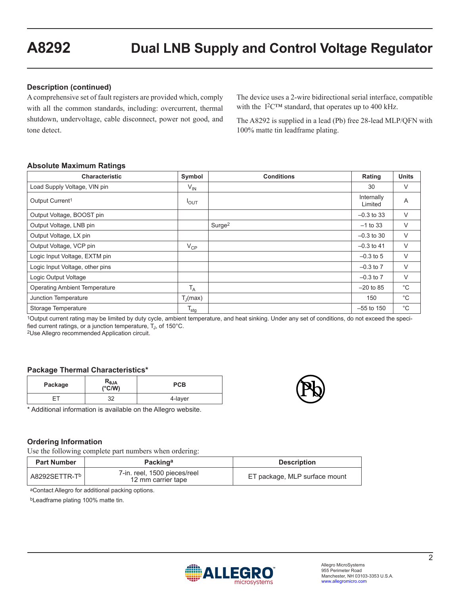## **Description (continued)**

A comprehensive set of fault registers are provided which, comply with all the common standards, including: overcurrent, thermal shutdown, undervoltage, cable disconnect, power not good, and tone detect.

The device uses a 2-wire bidirectional serial interface, compatible with the I2C™ standard, that operates up to 400 kHz.

The A8292 is supplied in a lead (Pb) free 28-lead MLP/QFN with 100% matte tin leadframe plating.

#### **Absolute Maximum Ratings**

| <b>Characteristic</b>                | Symbol            | <b>Conditions</b>  | Rating                | <b>Units</b> |
|--------------------------------------|-------------------|--------------------|-----------------------|--------------|
| Load Supply Voltage, VIN pin         | $V_{IN}$          |                    | 30                    | V            |
| Output Current <sup>1</sup>          | $I_{OUT}$         |                    | Internally<br>Limited | A            |
| Output Voltage, BOOST pin            |                   |                    | $-0.3$ to 33          | V            |
| Output Voltage, LNB pin              |                   | Surge <sup>2</sup> | $-1$ to 33            | $\vee$       |
| Output Voltage, LX pin               |                   |                    | $-0.3$ to 30          | V            |
| Output Voltage, VCP pin              | $V_{CP}$          |                    | $-0.3$ to 41          | V            |
| Logic Input Voltage, EXTM pin        |                   |                    | $-0.3$ to 5           | V            |
| Logic Input Voltage, other pins      |                   |                    | $-0.3$ to $7$         | $\vee$       |
| Logic Output Voltage                 |                   |                    | $-0.3$ to $7$         | V            |
| <b>Operating Ambient Temperature</b> | $T_A$             |                    | $-20$ to 85           | $^{\circ}C$  |
| Junction Temperature                 | $T_{\rm J}$ (max) |                    | 150                   | $^{\circ}C$  |
| Storage Temperature                  | $T_{\text{stg}}$  |                    | $-55$ to 150          | $^{\circ}$ C |

1Output current rating may be limited by duty cycle, ambient temperature, and heat sinking. Under any set of conditions, do not exceed the specified current ratings, or a junction temperature, T<sub>J</sub>, of 150°C.<br><sup>2</sup>Use Allegro recommended Application circuit.

#### **Package Thermal Characteristics\***

| Package | $\begin{array}{c} \mathsf{R}_{\theta \mathsf{JA}} \\ (\mathsf{^{\circ} C}/\mathsf{W}) \end{array}$ | <b>PCB</b> |
|---------|----------------------------------------------------------------------------------------------------|------------|
|         | າາ                                                                                                 | 4-layer    |

\* Additional information is available on the Allegro website.

# **Ordering Information**

Use the following complete part numbers when ordering:

| <b>Part Number</b> | Packinga                                           | <b>Description</b>            |
|--------------------|----------------------------------------------------|-------------------------------|
|                    | 7-in. reel, 1500 pieces/reel<br>12 mm carrier tape | ET package, MLP surface mount |
|                    |                                                    |                               |

aContact Allegro for additional packing options.

bLeadframe plating 100% matte tin.

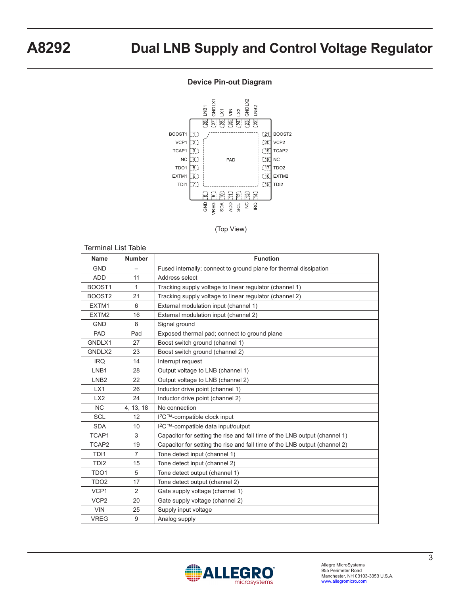#### **Device Pin-out Diagram**



(Top View)

| <b>Terminal List Table</b> |                |                                                                            |
|----------------------------|----------------|----------------------------------------------------------------------------|
| <b>Name</b>                | <b>Number</b>  | <b>Function</b>                                                            |
| <b>GND</b>                 |                | Fused internally; connect to ground plane for thermal dissipation          |
| <b>ADD</b>                 | 11             | Address select                                                             |
| BOOST1                     | $\mathbf{1}$   | Tracking supply voltage to linear regulator (channel 1)                    |
| BOOST2                     | 21             | Tracking supply voltage to linear regulator (channel 2)                    |
| EXTM1                      | 6              | External modulation input (channel 1)                                      |
| EXTM2                      | 16             | External modulation input (channel 2)                                      |
| <b>GND</b>                 | 8              | Signal ground                                                              |
| <b>PAD</b>                 | Pad            | Exposed thermal pad; connect to ground plane                               |
| GNDLX1                     | 27             | Boost switch ground (channel 1)                                            |
| GNDLX2                     | 23             | Boost switch ground (channel 2)                                            |
| <b>IRQ</b>                 | 14             | Interrupt request                                                          |
| LNB1                       | 28             | Output voltage to LNB (channel 1)                                          |
| LNB <sub>2</sub>           | 22             | Output voltage to LNB (channel 2)                                          |
| LX1                        | 26             | Inductor drive point (channel 1)                                           |
| LX2                        | 24             | Inductor drive point (channel 2)                                           |
| N <sub>C</sub>             | 4, 13, 18      | No connection                                                              |
| <b>SCL</b>                 | 12             | I <sup>2</sup> C™-compatible clock input                                   |
| <b>SDA</b>                 | 10             | I <sup>2</sup> C™-compatible data input/output                             |
| TCAP1                      | 3              | Capacitor for setting the rise and fall time of the LNB output (channel 1) |
| TCAP2                      | 19             | Capacitor for setting the rise and fall time of the LNB output (channel 2) |
| TD <sub>1</sub>            | $\overline{7}$ | Tone detect input (channel 1)                                              |
| TD <sub>12</sub>           | 15             | Tone detect input (channel 2)                                              |
| TDO1                       | 5              | Tone detect output (channel 1)                                             |
| TDO <sub>2</sub>           | 17             | Tone detect output (channel 2)                                             |
| VCP1                       | $\overline{2}$ | Gate supply voltage (channel 1)                                            |
| VCP <sub>2</sub>           | 20             | Gate supply voltage (channel 2)                                            |
| <b>VIN</b>                 | 25             | Supply input voltage                                                       |
| <b>VREG</b>                | 9              | Analog supply                                                              |

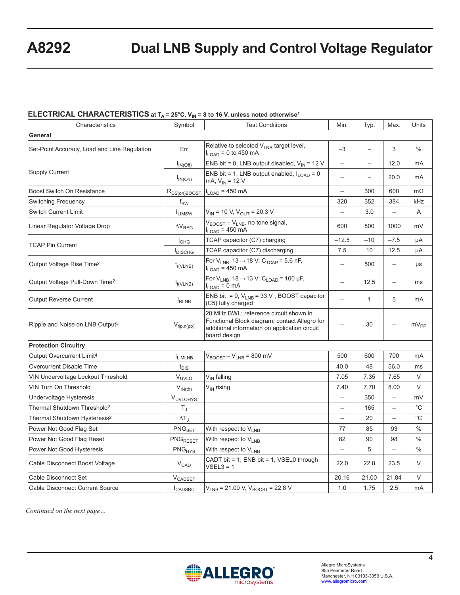# **ELECTRICAL CHARACTERISTICS at T<sub>A</sub> = 25°C, V<sub>IN</sub> = 8 to 16 V, unless noted otherwise<sup>1</sup>**

| Characteristics                              | Symbol                                                                                                                                                                      | <b>Test Conditions</b>                                                                  | Min.                     | Typ.                     | Max.                     | Units         |
|----------------------------------------------|-----------------------------------------------------------------------------------------------------------------------------------------------------------------------------|-----------------------------------------------------------------------------------------|--------------------------|--------------------------|--------------------------|---------------|
| General                                      |                                                                                                                                                                             |                                                                                         |                          |                          |                          |               |
| Set-Point Accuracy, Load and Line Regulation | Relative to selected $V_{I,NR}$ target level,<br>Err<br>$I_{LOAD}$ = 0 to 450 mA                                                                                            |                                                                                         | $-3$                     |                          | 3                        | $\%$          |
|                                              | $I_{IN(Off)}$                                                                                                                                                               | ENB bit = 0, LNB output disabled, $V_{1N}$ = 12 V                                       | $\overline{\phantom{0}}$ | $\overline{\phantom{0}}$ | 12.0                     | mA            |
| <b>Supply Current</b>                        | $I_{IN(On)}$                                                                                                                                                                | ENB bit = 1, LNB output enabled, $I_{1 \text{ OAD}} = 0$<br>mA, $V_{IN}$ = 12 V         | $\overline{\phantom{0}}$ | $\overline{\phantom{0}}$ | 20.0                     | mA            |
| Boost Switch On Resistance                   | $R_{DS(on)BOOST}$                                                                                                                                                           | $I_{LOAD}$ = 450 mA                                                                     | $\overline{\phantom{0}}$ | 300                      | 600                      | $m\Omega$     |
| Switching Frequency                          | $f_{SW}$                                                                                                                                                                    |                                                                                         | 320                      | 352                      | 384                      | kHz           |
| <b>Switch Current Limit</b>                  | $I_{LIMSW}$                                                                                                                                                                 | $V_{IN}$ = 10 V, $V_{OUT}$ = 20.3 V                                                     | $\overline{\phantom{0}}$ | 3.0                      | $\equiv$                 | A             |
| Linear Regulator Voltage Drop                | $\Delta V_{RFG}$                                                                                                                                                            | V <sub>BOOST</sub> - V <sub>LNB</sub> , no tone signal,<br>$I_{LOAD}$ = 450 mA          | 600                      | 800                      | 1000                     | mV            |
| <b>TCAP Pin Current</b>                      | $I_{CHG}$                                                                                                                                                                   | TCAP capacitor (C7) charging                                                            | $-12.5$                  | $-10$                    | $-7.5$                   | μA            |
|                                              | <b>I</b> <sub>DISCHG</sub>                                                                                                                                                  | TCAP capacitor (C7) discharging                                                         | 7.5                      | 10                       | 12.5                     | μA            |
| Output Voltage Rise Time <sup>2</sup>        | $t_{r(VLNB)}$                                                                                                                                                               | For $V_{LNB}$ 13 $\rightarrow$ 18 V; C <sub>TCAP</sub> = 5.6 nF,<br>$I_{LOAD}$ = 450 mA | $\overline{\phantom{0}}$ | 500                      | $\overline{\phantom{0}}$ | μs            |
| Output Voltage Pull-Down Time <sup>2</sup>   | $t_{f(VLNB)}$                                                                                                                                                               | For $V_{LNB}$ 18 $\rightarrow$ 13 V; C <sub>LOAD</sub> = 100 µF,<br>$I_{LOAD} = 0$ mA   | $\overline{\phantom{0}}$ | 12.5                     | $\overline{\phantom{0}}$ | ms            |
| <b>Output Reverse Current</b>                | $I_{RLNB}$                                                                                                                                                                  | ENB bit = 0, $V_{LNB}$ = 33 V, BOOST capacitor<br>(C5) fully charged                    | $\overline{\phantom{0}}$ | $\mathbf{1}$             | 5                        | mA            |
| Ripple and Noise on LNB Output <sup>3</sup>  | 20 MHz BWL; reference circuit shown in<br>Functional Block diagram; contact Allegro for<br>$V_{rip,n(pp)}$<br>additional information on application circuit<br>board design |                                                                                         |                          | 30                       | $\overline{\phantom{0}}$ | $mV_{PP}$     |
| <b>Protection Circuitry</b>                  |                                                                                                                                                                             |                                                                                         |                          |                          |                          |               |
| Output Overcurrent Limit <sup>4</sup>        | <b>I</b> LIMLNB                                                                                                                                                             | $V_{\text{BOOST}} - V_{\text{LNB}} = 800 \text{ mV}$                                    | 500                      | 600                      | 700                      | mA            |
| Overcurrent Disable Time                     | $t_{\text{DIS}}$                                                                                                                                                            |                                                                                         | 40.0                     | 48                       | 56.0                     | ms            |
| VIN Undervoltage Lockout Threshold           | $V_{UVLO}$                                                                                                                                                                  | V <sub>IN</sub> falling                                                                 | 7.05                     | 7.35                     | 7.65                     | V             |
| <b>VIN Turn On Threshold</b>                 | $V_{IN(th)}$                                                                                                                                                                | V <sub>IN</sub> rising                                                                  | 7.40                     | 7.70                     | 8.00                     | V             |
| Undervoltage Hysteresis                      | VUVLOHYS                                                                                                                                                                    |                                                                                         | $\overline{\phantom{0}}$ | 350                      | $\overline{\phantom{0}}$ | mV            |
| Thermal Shutdown Threshold <sup>2</sup>      | $T_{\rm J}$                                                                                                                                                                 |                                                                                         | $\qquad \qquad -$        | 165                      | $\overline{\phantom{0}}$ | $^{\circ}$ C  |
| Thermal Shutdown Hysteresis <sup>2</sup>     | $\Delta T_J$                                                                                                                                                                |                                                                                         | $\overline{\phantom{0}}$ | 20                       | $\overline{a}$           | $^{\circ}C$   |
| Power Not Good Flag Set                      | PNG <sub>SET</sub>                                                                                                                                                          | With respect to V <sub>LNB</sub>                                                        | 77                       | 85                       | 93                       | $\frac{0}{0}$ |
| Power Not Good Flag Reset                    | PNG <sub>RESET</sub>                                                                                                                                                        | With respect to V <sub>LNB</sub>                                                        | 82                       | 90                       | 98                       | $\%$          |
| Power Not Good Hysteresis                    | PNG <sub>HYS</sub>                                                                                                                                                          | With respect to V <sub>LNB</sub>                                                        | $\overline{\phantom{0}}$ | 5                        | $\overline{a}$           | $\frac{0}{0}$ |
| Cable Disconnect Boost Voltage               | $V_{CAD}$                                                                                                                                                                   | CADT bit = 1, ENB bit = 1, VSEL0 through<br>$VSEL3 = 1$                                 | 22.0                     | 22.8                     | 23.5                     | V             |
| Cable Disconnect Set                         | $V_{\text{CADSET}}$                                                                                                                                                         |                                                                                         | 20.16                    | 21.00                    | 21.84                    | V             |
| <b>Cable Disconnect Current Source</b>       | <b>I</b> CADSRC                                                                                                                                                             | $V_{LNB}$ = 21.00 V, $V_{BOOST}$ = 22.8 V                                               | 1.0                      | 1.75                     | 2.5                      | mA            |

*Continued on the next page…*

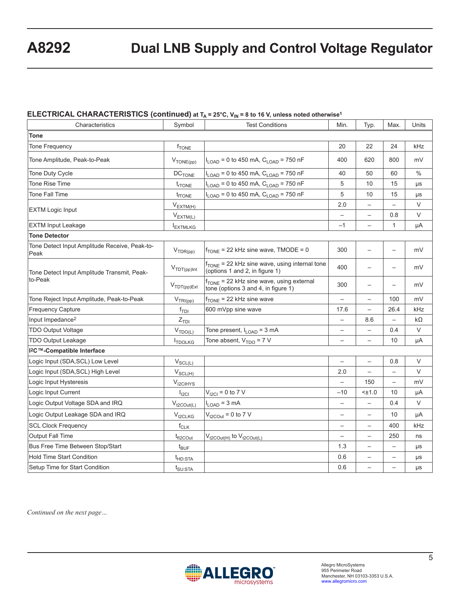## **ELECTRICAL CHARACTERISTICS (continued) at TA = 25°C, V<sub>IN</sub> = 8 to 16 V, unless noted otherwise<sup>1</sup>**

| Characteristics                                        | Symbol                          | <b>Test Conditions</b>                                                                      |                          | Typ.                     | Max.                     | Units         |
|--------------------------------------------------------|---------------------------------|---------------------------------------------------------------------------------------------|--------------------------|--------------------------|--------------------------|---------------|
| <b>Tone</b>                                            |                                 |                                                                                             |                          |                          |                          |               |
| <b>Tone Frequency</b>                                  | $f_{\text{TONE}}$               |                                                                                             | 20                       | 22                       | 24                       | kHz           |
| Tone Amplitude, Peak-to-Peak                           | $V_{\text{TONE(pp)}}$           | $I_{\text{LOAD}}$ = 0 to 450 mA, $C_{\text{LOAD}}$ = 750 nF                                 | 400                      | 620                      | 800                      | mV            |
| Tone Duty Cycle                                        | $DC$ <sub>TONE</sub>            | $I_{\text{LOAD}}$ = 0 to 450 mA, $C_{\text{LOAD}}$ = 750 nF                                 | 40                       | 50                       | 60                       | $\frac{0}{0}$ |
| <b>Tone Rise Time</b>                                  | $t_{rTONE}$                     | $I_{\text{LOAD}}$ = 0 to 450 mA, $C_{\text{LOAD}}$ = 750 nF                                 | 5                        | 10                       | 15                       | μs            |
| Tone Fall Time                                         | t <sub>rone</sub>               | $I_{\text{LOAD}}$ = 0 to 450 mA, $C_{\text{LOAD}}$ = 750 nF                                 | 5                        | 10                       | 15                       | μs            |
|                                                        | $V_{EXTM(H)}$                   |                                                                                             | 2.0                      |                          |                          | V             |
| <b>EXTM Logic Input</b>                                | $V_{EXTM(L)}$                   |                                                                                             | $\qquad \qquad -$        | $\qquad \qquad -$        | 0.8                      | V             |
| <b>EXTM Input Leakage</b>                              | <b>IEXTMLKG</b>                 |                                                                                             | $-1$                     | $\overline{\phantom{0}}$ | 1                        | μA            |
| <b>Tone Detector</b>                                   |                                 |                                                                                             |                          |                          |                          |               |
| Tone Detect Input Amplitude Receive, Peak-to-<br>Peak  | $V_{TDR(pp)}$                   | $f_{\text{TONE}}$ = 22 kHz sine wave, TMODE = 0                                             | 300                      |                          | $\overline{\phantom{0}}$ | mV            |
| Tone Detect Input Amplitude Transmit, Peak-<br>to-Peak | $V_{\text{TDT(pp)}}$ Int        | f <sub>TONE</sub> = 22 kHz sine wave, using internal tone<br>(options 1 and 2, in figure 1) | 400                      | $\overline{\phantom{0}}$ | —                        | mV            |
|                                                        | $V_{\text{TDT(pp)Ext}}$         | f <sub>TONE</sub> = 22 kHz sine wave, using external<br>tone (options 3 and 4, in figure 1) | 300                      |                          | $\overline{\phantom{0}}$ | mV            |
| Tone Reject Input Amplitude, Peak-to-Peak              | $V_{TRI(pp)}$                   | $f_{\text{TONE}}$ = 22 kHz sine wave                                                        | $\overline{\phantom{0}}$ | $\overline{\phantom{0}}$ | 100                      | mV            |
| <b>Frequency Capture</b>                               | $f_{\sf TDI}$                   | 600 mVpp sine wave                                                                          | 17.6                     |                          | 26.4                     | kHz           |
| Input Impedance <sup>2</sup>                           | $Z_{\text{TDI}}$                |                                                                                             | $\qquad \qquad -$        | 8.6                      | $\overline{\phantom{0}}$ | $k\Omega$     |
| <b>TDO Output Voltage</b>                              | $V_{\text{TDO}(\underline{L})}$ | Tone present, I <sub>LOAD</sub> = 3 mA                                                      | $\qquad \qquad -$        |                          | 0.4                      | V             |
| <b>TDO Output Leakage</b>                              | <sup>I</sup> TDOLKG             | Tone absent, $V_{TDO} = 7 V$                                                                | $\overline{\phantom{0}}$ | $\overline{\phantom{0}}$ | 10                       | μA            |
| I <sup>2</sup> C™-Compatible Interface                 |                                 |                                                                                             |                          |                          |                          |               |
| Logic Input (SDA, SCL) Low Level                       | $V_{SCL(L)}$                    |                                                                                             | $\overline{a}$           | $\overline{\phantom{0}}$ | 0.8                      | $\vee$        |
| Logic Input (SDA, SCL) High Level                      | $V_{SCL(H)}$                    |                                                                                             | 2.0                      | $\qquad \qquad -$        | $\overline{\phantom{0}}$ | V             |
| Logic Input Hysteresis                                 | V <sub>12</sub> CHYS            |                                                                                             | $\overline{\phantom{0}}$ | 150                      | $\overline{\phantom{0}}$ | mV            |
| Logic Input Current                                    | $I_{\text{ICI}}$                | $V_{12Cl} = 0$ to 7 V                                                                       | $-10$                    | $<$ $±1.0$               | 10                       | μA            |
| Logic Output Voltage SDA and IRQ                       | $V_{t2COut(L)}$                 | $I_{LOAD}$ = 3 mA                                                                           | $\overline{\phantom{0}}$ | $\overline{\phantom{0}}$ | 0.4                      | V             |
| Logic Output Leakage SDA and IRQ                       | $V_{t2CLKG}$                    | $V_{t2\text{COut}}$ = 0 to 7 V                                                              | $\qquad \qquad -$        | $\qquad \qquad -$        | 10                       | μA            |
| <b>SCL Clock Frequency</b>                             | $f_{\sf CLK}$                   |                                                                                             | $\qquad \qquad -$        | $\overline{\phantom{0}}$ | 400                      | kHz           |
| <b>Output Fall Time</b>                                | t <sub>fl2COut</sub>            | $V_{t2\text{COut(H)}}$ to $V_{t2\text{COut(L)}}$                                            | $\overline{\phantom{0}}$ | $\overline{\phantom{0}}$ | 250                      | ns            |
| Bus Free Time Between Stop/Start                       | $t_{\text{BUF}}$                |                                                                                             | 1.3                      | $\overline{\phantom{0}}$ | $\overline{\phantom{0}}$ | μs            |
| <b>Hold Time Start Condition</b>                       | t <sub>HD:STA</sub>             |                                                                                             | 0.6                      |                          |                          | μs            |
| Setup Time for Start Condition                         | $t_{\text{SU:STA}}$             |                                                                                             | 0.6                      | $\qquad \qquad -$        | $\overline{\phantom{0}}$ | μs            |

*Continued on the next page…*

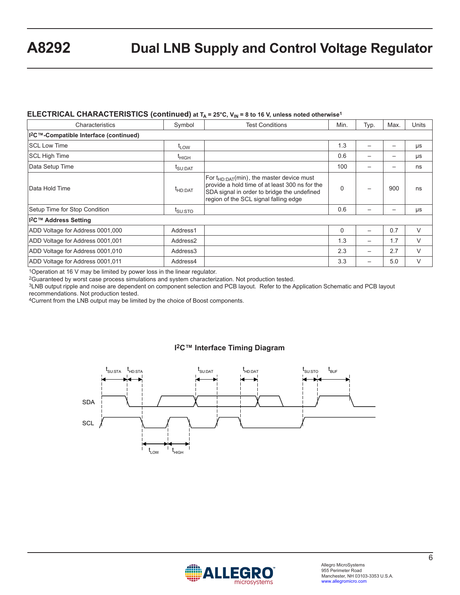#### ELECTRICAL CHARACTERISTICS (continued) at T<sub>A</sub> = 25°C, V<sub>IN</sub> = 8 to 16 V, unless noted otherwise<sup>1</sup>

| Characteristics                                    | Symbol               | <b>Test Conditions</b>                                                                                                                                                                   | Min. | Typ. | Max. | <b>Units</b> |
|----------------------------------------------------|----------------------|------------------------------------------------------------------------------------------------------------------------------------------------------------------------------------------|------|------|------|--------------|
| I <sup>2</sup> C™-Compatible Interface (continued) |                      |                                                                                                                                                                                          |      |      |      |              |
| <b>ISCL Low Time</b>                               | $t_{LOW}$            |                                                                                                                                                                                          | 1.3  |      |      | μs           |
| <b>SCL High Time</b>                               | $t_{\text{HIGH}}$    |                                                                                                                                                                                          | 0.6  |      |      | μs           |
| Data Setup Time                                    | t <sub>SU:DAT</sub>  |                                                                                                                                                                                          | 100  | -    |      | ns           |
| <b>IData Hold Time</b>                             | <sup>t</sup> HD:DAT  | For $t_{HD:DAT}(min)$ , the master device must<br>provide a hold time of at least 300 ns for the<br>SDA signal in order to bridge the undefined<br>region of the SCL signal falling edge | 0    |      | 900  | ns           |
| Setup Time for Stop Condition                      | t <sub>SU:STO</sub>  |                                                                                                                                                                                          | 0.6  |      |      | μs           |
| <sup>12</sup> C™ Address Setting                   |                      |                                                                                                                                                                                          |      |      |      |              |
| ADD Voltage for Address 0001,000                   | Address1             |                                                                                                                                                                                          | 0    |      | 0.7  | V            |
| ADD Voltage for Address 0001,001                   | Address <sub>2</sub> |                                                                                                                                                                                          | 1.3  | —    | 1.7  | V            |
| ADD Voltage for Address 0001,010                   | Address3             |                                                                                                                                                                                          | 2.3  | -    | 2.7  | V            |
| ADD Voltage for Address 0001,011                   | Address4             |                                                                                                                                                                                          | 3.3  |      | 5.0  | V            |

1Operation at 16 V may be limited by power loss in the linear regulator.

2Guaranteed by worst case process simulations and system characterization. Not production tested.

3LNB output ripple and noise are dependent on component selection and PCB layout. Refer to the Application Schematic and PCB layout recommendations. Not production tested.

4Current from the LNB output may be limited by the choice of Boost components.

#### **I2C™ Interface Timing Diagram**



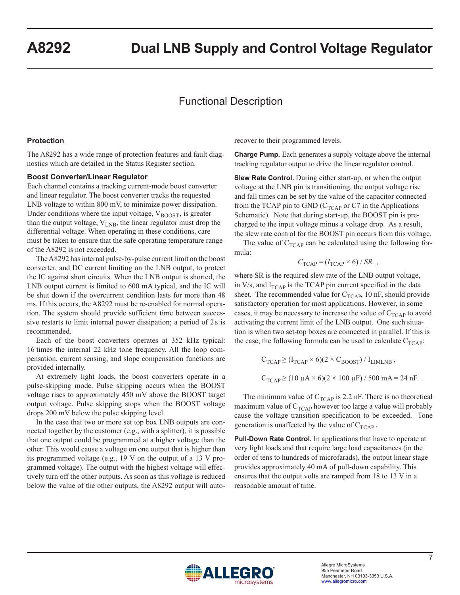# Functional Description

#### **Protection**

The A8292 has a wide range of protection features and fault diagnostics which are detailed in the Status Register section.

#### **Boost Converter/Linear Regulator**

Each channel contains a tracking current-mode boost converter and linear regulator. The boost converter tracks the requested LNB voltage to within 800 mV, to minimize power dissipation. Under conditions where the input voltage,  $V_{\text{BOOST}}$ , is greater than the output voltage,  $V_{LNB}$ , the linear regulator must drop the differential voltage. When operating in these conditions, care must be taken to ensure that the safe operating temperature range of the A8292 is not exceeded.

The A8292 has internal pulse-by-pulse current limit on the boost converter, and DC current limiting on the LNB output, to protect the IC against short circuits. When the LNB output is shorted, the LNB output current is limited to 600 mA typical, and the IC will be shut down if the overcurrent condition lasts for more than 48 ms. If this occurs, the A8292 must be re-enabled for normal operation. The system should provide sufficient time between successive restarts to limit internal power dissipation; a period of 2s is recommended.

Each of the boost converters operates at 352 kHz typical: 16 times the internal 22 kHz tone frequency. All the loop compensation, current sensing, and slope compensation functions are provided internally.

At extremely light loads, the boost converters operate in a pulse-skipping mode. Pulse skipping occurs when the BOOST voltage rises to approximately 450 mV above the BOOST target output voltage. Pulse skipping stops when the BOOST voltage drops 200 mV below the pulse skipping level.

In the case that two or more set top box LNB outputs are connected together by the customer (e.g., with a splitter), it is possible that one output could be programmed at a higher voltage than the other. This would cause a voltage on one output that is higher than its programmed voltage (e.g., 19 V on the output of a 13 V programmed voltage). The output with the highest voltage will effectively turn off the other outputs. As soon as this voltage is reduced below the value of the other outputs, the A8292 output will autorecover to their programmed levels.

**Charge Pump.** Each generates a supply voltage above the internal tracking regulator output to drive the linear regulator control.

**Slew Rate Control.** During either start-up, or when the output voltage at the LNB pin is transitioning, the output voltage rise and fall times can be set by the value of the capacitor connected from the TCAP pin to GND ( $C_{TCAP}$  or C7 in the Applications Schematic). Note that during start-up, the BOOST pin is precharged to the input voltage minus a voltage drop. As a result, the slew rate control for the BOOST pin occurs from this voltage.

The value of  $C_{TCAP}$  can be calculated using the following formula:

$$
C_{\text{TCAP}} = (I_{\text{TCAP}} \times 6) / SR ,
$$

where SR is the required slew rate of the LNB output voltage, in V/s, and  $I_{TCAP}$  is the TCAP pin current specified in the data sheet. The recommended value for  $C_{TCAP}$ , 10 nF, should provide satisfactory operation for most applications. However, in some cases, it may be necessary to increase the value of  $C_{TCAP}$  to avoid activating the current limit of the LNB output. One such situation is when two set-top boxes are connected in parallel. If this is the case, the following formula can be used to calculate  $C_{TCAP}$ :

$$
C_{TCAP} \ge (I_{TCAP} \times 6)(2 \times C_{BOOST}) / I_{LIMLNB}
$$
,  
\n $C_{TCAP} \ge (10 \mu A \times 6)(2 \times 100 \mu F) / 500 mA = 24 nF$ .

The minimum value of  $C_{TCAP}$  is 2.2 nF. There is no theoretical maximum value of  $C_{TCAP}$  however too large a value will probably cause the voltage transition specification to be exceeded. Tone generation is unaffected by the value of  $C_{TCAP}$ .

**Pull-Down Rate Control.** In applications that have to operate at very light loads and that require large load capacitances (in the order of tens to hundreds of microfarads), the output linear stage provides approximately 40 mA of pull-down capability. This ensures that the output volts are ramped from 18 to 13 V in a reasonable amount of time.

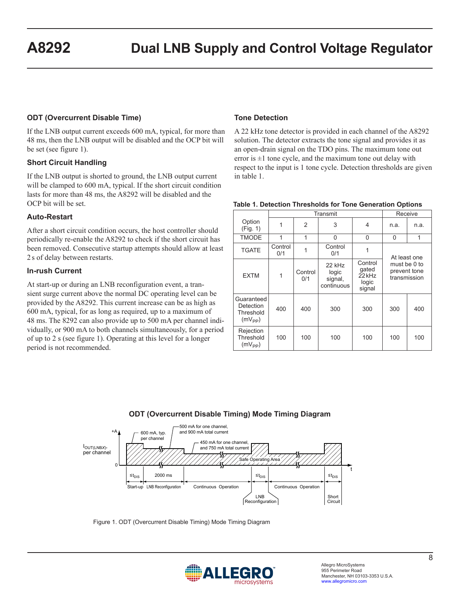## **ODT (Overcurrent Disable Time)**

If the LNB output current exceeds 600 mA, typical, for more than 48 ms, then the LNB output will be disabled and the OCP bit will be set (see figure 1).

#### **Short Circuit Handling**

If the LNB output is shorted to ground, the LNB output current will be clamped to 600 mA, typical. If the short circuit condition lasts for more than 48 ms, the A8292 will be disabled and the OCP bit will be set.

#### **Auto-Restart**

After a short circuit condition occurs, the host controller should periodically re-enable the A8292 to check if the short circuit has been removed. Consecutive startup attempts should allow at least 2s of delay between restarts.

#### **In-rush Current**

At start-up or during an LNB reconfiguration event, a transient surge current above the normal DC operating level can be provided by the A8292. This current increase can be as high as 600 mA, typical, for as long as required, up to a maximum of 48 ms. The 8292 can also provide up to 500 mA per channel individually, or 900 mA to both channels simultaneously, for a period of up to 2 s (see figure 1). Operating at this level for a longer period is not recommended.

#### **Tone Detection**

A 22 kHz tone detector is provided in each channel of the A8292 solution. The detector extracts the tone signal and provides it as an open-drain signal on the TDO pins. The maximum tone out error is  $\pm 1$  tone cycle, and the maximum tone out delay with respect to the input is 1 tone cycle. Detection thresholds are given in table 1.

|  |  | Table 1. Detection Thresholds for Tone Generation Options |  |  |
|--|--|-----------------------------------------------------------|--|--|
|--|--|-----------------------------------------------------------|--|--|

|                                                     |                | Transmit       |                                          |                                                          | Receive                                                      |      |
|-----------------------------------------------------|----------------|----------------|------------------------------------------|----------------------------------------------------------|--------------------------------------------------------------|------|
| Option<br>(Fig. 1)                                  | 1              | $\overline{2}$ | 3                                        | 4                                                        | n.a.                                                         | n.a. |
| <b>TMODE</b>                                        | 1              | $\mathbf 1$    | $\Omega$                                 | 0                                                        | $\Omega$                                                     | 1    |
| <b>TGATE</b>                                        | Control<br>0/1 |                | Control<br>0/1                           | 1                                                        | At least one<br>must be 0 to<br>prevent tone<br>transmission |      |
| <b>EXTM</b>                                         | 1              | Control<br>0/1 | 22 kHz<br>logic<br>signal,<br>continuous | Control<br>gated<br>22 <sub>kHz</sub><br>logic<br>signal |                                                              |      |
| Guaranteed<br>Detection<br>Threshold<br>$(mV_{PP})$ | 400            | 400            | 300                                      | 300                                                      | 300                                                          | 400  |
| Rejection<br>Threshold<br>$(mV_{PP})$               | 100            | 100            | 100                                      | 100                                                      | 100                                                          | 100  |

#### **ODT (Overcurrent Disable Timing) Mode Timing Diagram**



Figure 1. ODT (Overcurrent Disable Timing) Mode Timing Diagram

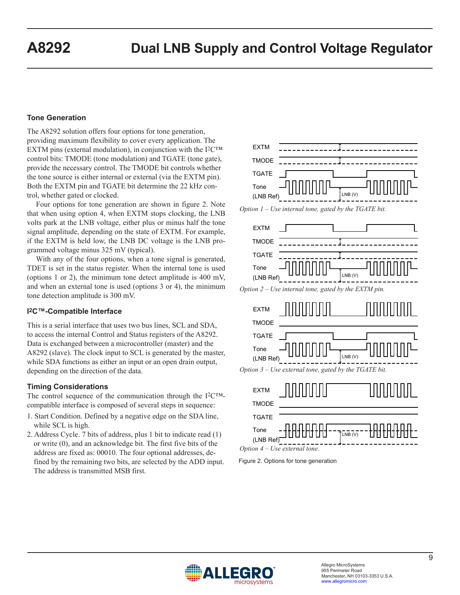## **Tone Generation**

The A8292 solution offers four options for tone generation, providing maximum flexibility to cover every application. The EXTM pins (external modulation), in conjunction with the  $I^2C^{TM}$ control bits: TMODE (tone modulation) and TGATE (tone gate), provide the necessary control. The TMODE bit controls whether the tone source is either internal or external (via the EXTM pin). Both the EXTM pin and TGATE bit determine the 22 kHz control, whether gated or clocked.

Four options for tone generation are shown in figure 2. Note that when using option 4, when EXTM stops clocking, the LNB volts park at the LNB voltage, either plus or minus half the tone signal amplitude, depending on the state of EXTM. For example, if the EXTM is held low, the LNB DC voltage is the LNB programmed voltage minus 325 mV (typical).

With any of the four options, when a tone signal is generated, TDET is set in the status register. When the internal tone is used (options 1 or 2), the minimum tone detect amplitude is 400 mV, and when an external tone is used (options 3 or 4), the minimum tone detection amplitude is 300 mV.

### **I2C™-Compatible Interface**

This is a serial interface that uses two bus lines, SCL and SDA, to access the internal Control and Status registers of the A8292. Data is exchanged between a microcontroller (master) and the A8292 (slave). The clock input to SCL is generated by the master, while SDA functions as either an input or an open drain output, depending on the direction of the data.

#### **Timing Considerations**

The control sequence of the communication through the I2C™ compatible interface is composed of several steps in sequence:

- 1. Start Condition. Defined by a negative edge on the SDA line, while SCL is high.
- 2. Address Cycle. 7 bits of address, plus 1 bit to indicate read (1) or write (0), and an acknowledge bit. The first five bits of the address are fixed as: 00010. The four optional addresses, defined by the remaining two bits, are selected by the ADD input. The address is transmitted MSB first.









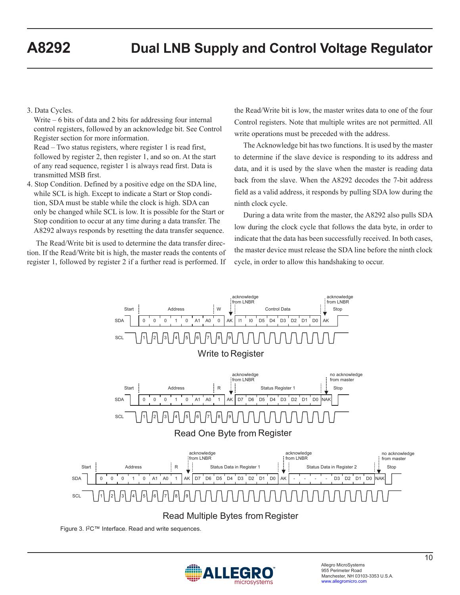## 3. Data Cycles.

 Write – 6 bits of data and 2 bits for addressing four internal control registers, followed by an acknowledge bit. See Control Register section for more information.

 Read – Two status registers, where register 1 is read first, followed by register 2, then register 1, and so on. At the start of any read sequence, register 1 is always read first. Data is transmitted MSB first.

4. Stop Condition. Defined by a positive edge on the SDA line, while SCL is high. Except to indicate a Start or Stop condition, SDA must be stable while the clock is high. SDA can only be changed while SCL is low. It is possible for the Start or Stop condition to occur at any time during a data transfer. The A8292 always responds by resetting the data transfer sequence.

The Read/Write bit is used to determine the data transfer direction. If the Read/Write bit is high, the master reads the contents of register 1, followed by register 2 if a further read is performed. If the Read/Write bit is low, the master writes data to one of the four Control registers. Note that multiple writes are not permitted. All write operations must be preceded with the address.

The Acknowledge bit has two functions. It is used by the master to determine if the slave device is responding to its address and data, and it is used by the slave when the master is reading data back from the slave. When the A8292 decodes the 7-bit address field as a valid address, it responds by pulling SDA low during the ninth clock cycle.

During a data write from the master, the A8292 also pulls SDA low during the clock cycle that follows the data byte, in order to indicate that the data has been successfully received. In both cases, the master device must release the SDA line before the ninth clock cycle, in order to allow this handshaking to occur.



Figure 3. I2C™ Interface. Read and write sequences.

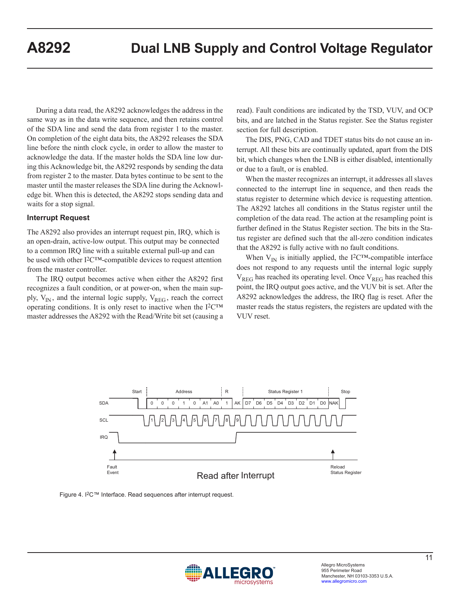During a data read, the A8292 acknowledges the address in the same way as in the data write sequence, and then retains control of the SDA line and send the data from register 1 to the master. On completion of the eight data bits, the A8292 releases the SDA line before the ninth clock cycle, in order to allow the master to acknowledge the data. If the master holds the SDA line low during this Acknowledge bit, the A8292 responds by sending the data from register 2 to the master. Data bytes continue to be sent to the master until the master releases the SDA line during the Acknowledge bit. When this is detected, the A8292 stops sending data and waits for a stop signal.

#### **Interrupt Request**

The A8292 also provides an interrupt request pin, IRQ, which is an open-drain, active-low output. This output may be connected to a common IRQ line with a suitable external pull-up and can be used with other I2C™-compatible devices to request attention from the master controller.

The IRQ output becomes active when either the A8292 first recognizes a fault condition, or at power-on, when the main supply,  $V_{IN}$ , and the internal logic supply,  $V_{REG}$ , reach the correct operating conditions. It is only reset to inactive when the  $I^2C^{TM}$ master addresses the A8292 with the Read/Write bit set (causing a read). Fault conditions are indicated by the TSD, VUV, and OCP bits, and are latched in the Status register. See the Status register section for full description.

The DIS, PNG, CAD and TDET status bits do not cause an interrupt. All these bits are continually updated, apart from the DIS bit, which changes when the LNB is either disabled, intentionally or due to a fault, or is enabled.

When the master recognizes an interrupt, it addresses all slaves connected to the interrupt line in sequence, and then reads the status register to determine which device is requesting attention. The A8292 latches all conditions in the Status register until the completion of the data read. The action at the resampling point is further defined in the Status Register section. The bits in the Status register are defined such that the all-zero condition indicates that the A8292 is fully active with no fault conditions.

When  $V_{IN}$  is initially applied, the I<sup>2</sup>C<sup>TM</sup>-compatible interface does not respond to any requests until the internal logic supply  $V_{REG}$  has reached its operating level. Once  $V_{REG}$  has reached this point, the IRQ output goes active, and the VUV bit is set. After the A8292 acknowledges the address, the IRQ flag is reset. After the master reads the status registers, the registers are updated with the VUV reset.



Figure 4. I2C™ Interface. Read sequences after interrupt request.

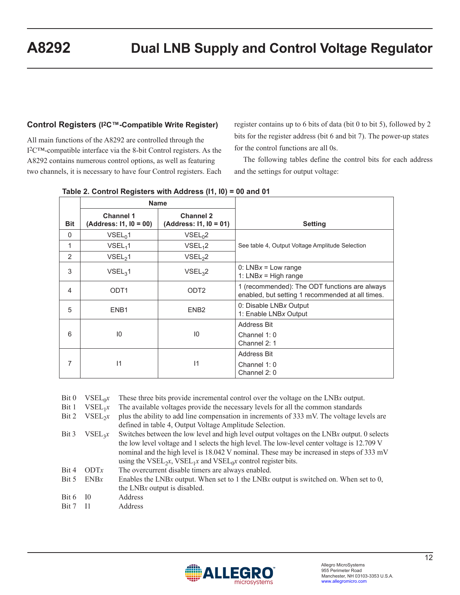# **Control Registers (I2C™-Compatible Write Register)**

All main functions of the A8292 are controlled through the I2C™-compatible interface via the 8-bit Control registers. As the A8292 contains numerous control options, as well as featuring two channels, it is necessary to have four Control registers. Each register contains up to 6 bits of data (bit 0 to bit 5), followed by 2 bits for the register address (bit 6 and bit 7). The power-up states for the control functions are all 0s.

The following tables define the control bits for each address and the settings for output voltage:

|                |                                     | <b>Name</b>                                |                                                                                                   |
|----------------|-------------------------------------|--------------------------------------------|---------------------------------------------------------------------------------------------------|
| <b>Bit</b>     | Channel 1<br>(Address: I1, I0 = 00) | <b>Channel 2</b><br>(Address: I1, I0 = 01) | <b>Setting</b>                                                                                    |
| $\mathbf{0}$   | VSEL <sub>0</sub> 1                 | VSEL <sub>0</sub> 2                        |                                                                                                   |
| 1              | VSEL <sub>1</sub> 1                 | VSEL <sub>1</sub> 2                        | See table 4, Output Voltage Amplitude Selection                                                   |
| 2              | VSEL <sub>2</sub> 1                 | VSEL <sub>2</sub> 2                        |                                                                                                   |
| 3              | VSEL <sub>3</sub> 1                 | VSEL <sub>3</sub> 2                        | 0: $LNBx = Low range$<br>1: $LNBx = High range$                                                   |
| $\overline{4}$ | ODT <sub>1</sub>                    | ODT <sub>2</sub>                           | 1 (recommended): The ODT functions are always<br>enabled, but setting 1 recommended at all times. |
| 5              | ENB <sub>1</sub>                    | ENB <sub>2</sub>                           | 0: Disable LNBx Output<br>1: Enable LNBx Output                                                   |
|                |                                     |                                            | Address Bit                                                                                       |
| 6              | 10                                  | $10 \,$                                    | Channel $1:0$<br>Channel 2: 1                                                                     |
|                |                                     |                                            | Address Bit                                                                                       |
| 7              | $\mathsf{I}$                        | $\mathsf{I}$                               | Channel $1:0$<br>Channel 2: 0                                                                     |

|  | Bit 0 $VSEL_0x$ These three bits provide incremental control over the voltage on the LNBx output. |
|--|---------------------------------------------------------------------------------------------------|
|  | Bit 1 $VSEL_1x$ The available voltages provide the necessary levels for all the common standards  |

- Bit 2  $VSEL_2x$  plus the ability to add line compensation in increments of 333 mV. The voltage levels are defined in table 4, Output Voltage Amplitude Selection.
- Bit 3  $VSEL<sub>3</sub>x$  Switches between the low level and high level output voltages on the LNB*x* output. 0 selects the low level voltage and 1 selects the high level. The low-level center voltage is 12.709 V nominal and the high level is 18.042 V nominal. These may be increased in steps of 333 mV using the VSEL<sub>2</sub>*x*, VSEL<sub>1</sub>*x* and VSEL<sub>0</sub>*x* control register bits.
- Bit 4 ODTx The overcurrent disable timers are always enabled.
- Bit 5 ENB*x* Enables the LNB*x* output. When set to 1 the LNB*x* output is switched on. When set to 0, the LNB*x* output is disabled.
- Bit 6 I0 Address
- Bit 7 I1 Address

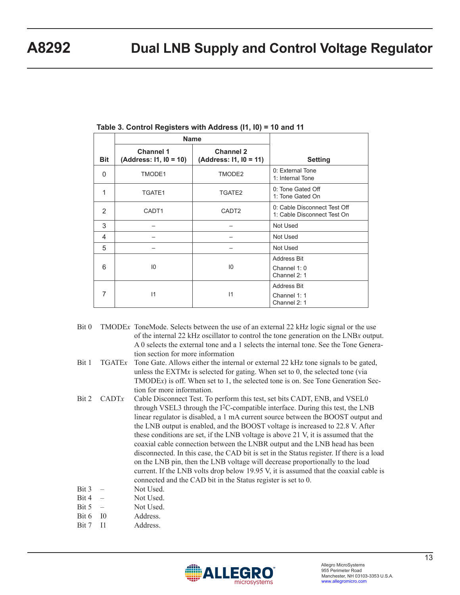|               | Name                                       |                                     |                                                             |
|---------------|--------------------------------------------|-------------------------------------|-------------------------------------------------------------|
| <b>Bit</b>    | <b>Channel 1</b><br>(Address: I1, I0 = 10) | Channel 2<br>(Address: I1, I0 = 11) | <b>Setting</b>                                              |
| $\Omega$      | TMODE1                                     | TMODE2                              | 0: External Tone<br>1: Internal Tone                        |
| 1             | TGATE1                                     | TGATE2                              | 0: Tone Gated Off<br>1: Tone Gated On                       |
| $\mathcal{P}$ | CADT <sub>1</sub>                          | CADT <sub>2</sub>                   | 0: Cable Disconnect Test Off<br>1: Cable Disconnect Test On |
| 3             |                                            |                                     | Not Used                                                    |
| 4             |                                            |                                     | Not Used                                                    |
| 5             |                                            |                                     | Not Used                                                    |
| 6             | 10                                         | $10^{\circ}$                        | <b>Address Bit</b><br>Channel $1:0$<br>Channel 2: 1         |
| 7             | $\mathsf{I}$                               | 11                                  | <b>Address Bit</b><br>Channel 1: 1<br>Channel 2: 1          |

- Bit 0 TMODEx ToneMode. Selects between the use of an external 22 kHz logic signal or the use of the internal 22 kHz oscillator to control the tone generation on the LNB*x* output. A 0 selects the external tone and a 1 selects the internal tone. See the Tone Generation section for more information
- Bit 1 TGATEx Tone Gate. Allows either the internal or external 22 kHz tone signals to be gated, unless the EXTM*x* is selected for gating. When set to 0, the selected tone (via TMODE*x*) is off. When set to 1, the selected tone is on. See Tone Generation Section for more information.
- Bit 2 CADT<sub>x</sub> Cable Disconnect Test. To perform this test, set bits CADT, ENB, and VSEL0 through VSEL3 through the I2C-compatible interface. During this test, the LNB linear regulator is disabled, a 1 mA current source between the BOOST output and the LNB output is enabled, and the BOOST voltage is increased to 22.8 V. After these conditions are set, if the LNB voltage is above 21 V, it is assumed that the coaxial cable connection between the LNBR output and the LNB head has been disconnected. In this case, the CAD bit is set in the Status register. If there is a load on the LNB pin, then the LNB voltage will decrease proportionally to the load current. If the LNB volts drop below 19.95 V, it is assumed that the coaxial cable is connected and the CAD bit in the Status register is set to 0.
- $Bit 3 Not Used.$
- $Bit 4$  Not Used.
- Bit 5 Not Used.
- Bit 6 I0 Address.
- Bit 7 I1 Address.

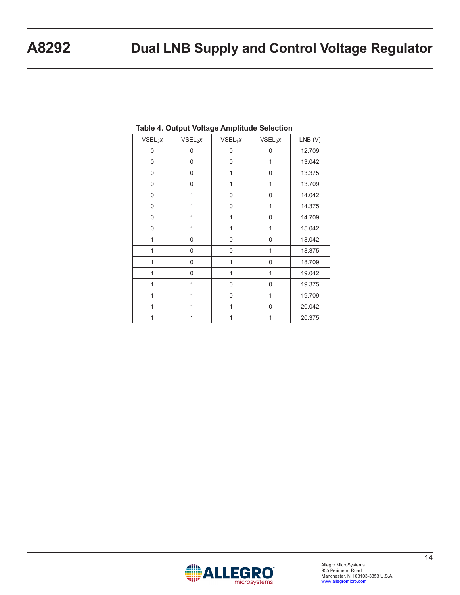| VSEL <sub>3</sub> X | $VSEL_2x$      | $VSEL_1x$    | $VSEL_0x$    | $LNB$ (V) |
|---------------------|----------------|--------------|--------------|-----------|
| 0                   | 0              | 0            | $\mathbf 0$  | 12.709    |
| 0                   | 0              | 0            | 1            | 13.042    |
| 0                   | $\mathbf 0$    | $\mathbf{1}$ | 0            | 13.375    |
| 0                   | $\mathbf 0$    | $\mathbf{1}$ | $\mathbf{1}$ | 13.709    |
| 0                   | 1              | 0            | 0            | 14.042    |
| 0                   | 1              | 0            | 1            | 14.375    |
| 0                   | 1              | $\mathbf{1}$ | 0            | 14.709    |
| 0                   | $\overline{1}$ | 1            | 1            | 15.042    |
| 1                   | $\mathbf 0$    | 0            | 0            | 18.042    |
| 1                   | $\mathbf 0$    | 0            | $\mathbf{1}$ | 18.375    |
| 1                   | 0              | 1            | 0            | 18.709    |
| 1                   | $\mathbf 0$    | 1            | $\mathbf{1}$ | 19.042    |
| $\overline{1}$      | 1              | 0            | $\mathbf 0$  | 19.375    |
| 1                   | $\overline{1}$ | 0            | 1            | 19.709    |
| 1                   | 1              | 1            | 0            | 20.042    |
| 1                   | 1              | 1            | 1            | 20.375    |

## **Table 4. Output Voltage Amplitude Selection**

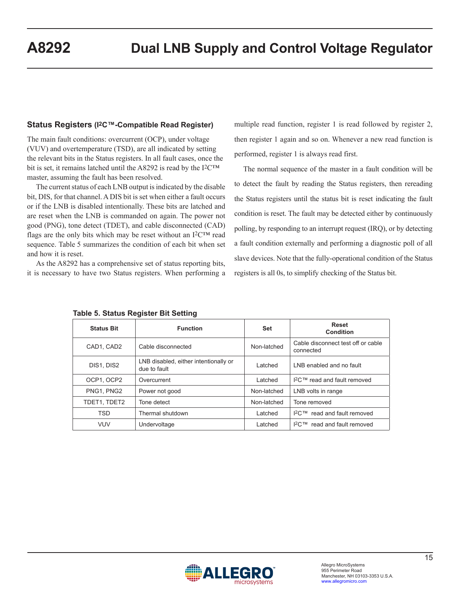#### **Status Registers (I2C™-Compatible Read Register)**

The main fault conditions: overcurrent (OCP), under voltage (VUV) and overtemperature (TSD), are all indicated by setting the relevant bits in the Status registers. In all fault cases, once the bit is set, it remains latched until the A8292 is read by the  $12<sup>CTM</sup>$ master, assuming the fault has been resolved.

The current status of each LNB output is indicated by the disable bit, DIS, for that channel. A DIS bit is set when either a fault occurs or if the LNB is disabled intentionally. These bits are latched and are reset when the LNB is commanded on again. The power not good (PNG), tone detect (TDET), and cable disconnected (CAD) flags are the only bits which may be reset without an  $I^2C^{TM}$  read sequence. Table 5 summarizes the condition of each bit when set and how it is reset.

As the A8292 has a comprehensive set of status reporting bits, it is necessary to have two Status registers. When performing a multiple read function, register 1 is read followed by register 2, then register 1 again and so on. Whenever a new read function is performed, register 1 is always read first.

The normal sequence of the master in a fault condition will be to detect the fault by reading the Status registers, then rereading the Status registers until the status bit is reset indicating the fault condition is reset. The fault may be detected either by continuously polling, by responding to an interrupt request (IRQ), or by detecting a fault condition externally and performing a diagnostic poll of all slave devices. Note that the fully-operational condition of the Status registers is all 0s, to simplify checking of the Status bit.

| <b>Status Bit</b>                | <b>Function</b>                                       |             | Reset<br>Condition                              |
|----------------------------------|-------------------------------------------------------|-------------|-------------------------------------------------|
| CAD1, CAD2<br>Cable disconnected |                                                       | Non-latched | Cable disconnect test off or cable<br>connected |
| DIS1, DIS2                       | LNB disabled, either intentionally or<br>due to fault | Latched     | LNB enabled and no fault                        |
| OCP1, OCP2                       | Overcurrent                                           | Latched     | $12$ C™ read and fault removed                  |
| PNG1, PNG2                       | Power not good                                        | Non-latched | LNB volts in range                              |
| TDET1, TDET2                     | Tone detect                                           | Non-latched | Tone removed                                    |
| <b>TSD</b>                       | Thermal shutdown                                      | Latched     | $12$ C™ read and fault removed                  |
| <b>VUV</b><br>Undervoltage       |                                                       | Latched     | $12$ C™ read and fault removed                  |

**Table 5. Status Register Bit Setting**

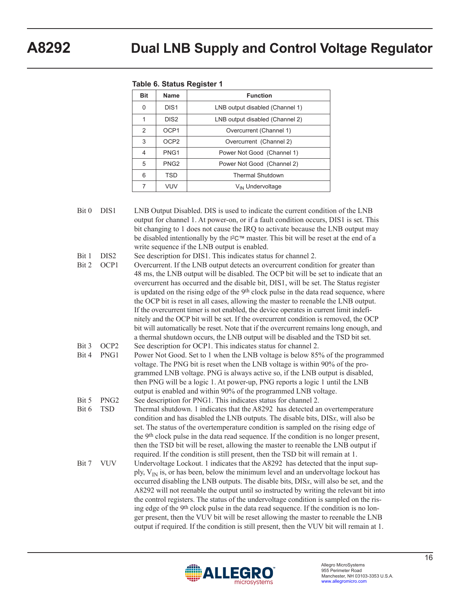|  |  |  | Table 6. Status Register 1 |
|--|--|--|----------------------------|
|--|--|--|----------------------------|

| <b>Bit</b> | Name             | <b>Function</b>                 |  |  |
|------------|------------------|---------------------------------|--|--|
| 0          | DIS <sub>1</sub> | LNB output disabled (Channel 1) |  |  |
| 1          | DIS <sub>2</sub> | LNB output disabled (Channel 2) |  |  |
| 2          | OCP <sub>1</sub> | Overcurrent (Channel 1)         |  |  |
| 3          | OCP <sub>2</sub> | Overcurrent (Channel 2)         |  |  |
| 4          | PNG <sub>1</sub> | Power Not Good (Channel 1)      |  |  |
| 5          | PNG <sub>2</sub> | Power Not Good (Channel 2)      |  |  |
| 6          | <b>TSD</b>       | <b>Thermal Shutdown</b>         |  |  |
| 7          | VUV              | V <sub>IN</sub> Undervoltage    |  |  |

Bit 0 DIS1 LNB Output Disabled. DIS is used to indicate the current condition of the LNB output for channel 1. At power-on, or if a fault condition occurs, DIS1 is set. This bit changing to 1 does not cause the IRQ to activate because the LNB output may be disabled intentionally by the I2C™ master. This bit will be reset at the end of a write sequence if the LNB output is enabled. Bit 1 DIS2 See description for DIS1. This indicates status for channel 2. Bit 2 OCP1 Overcurrent. If the LNB output detects an overcurrent condition for greater than 48 ms, the LNB output will be disabled. The OCP bit will be set to indicate that an overcurrent has occurred and the disable bit, DIS1, will be set. The Status register is updated on the rising edge of the 9th clock pulse in the data read sequence, where the OCP bit is reset in all cases, allowing the master to reenable the LNB output. If the overcurrent timer is not enabled, the device operates in current limit indefinitely and the OCP bit will be set. If the overcurrent condition is removed, the OCP bit will automatically be reset. Note that if the overcurrent remains long enough, and a thermal shutdown occurs, the LNB output will be disabled and the TSD bit set. Bit 3 OCP2 See description for OCP1. This indicates status for channel 2. Bit 4 PNG1 Power Not Good. Set to 1 when the LNB voltage is below 85% of the programmed voltage. The PNG bit is reset when the LNB voltage is within 90% of the programmed LNB voltage. PNG is always active so, if the LNB output is disabled, then PNG will be a logic 1. At power-up, PNG reports a logic 1 until the LNB output is enabled and within 90% of the programmed LNB voltage. Bit 5 PNG2 See description for PNG1. This indicates status for channel 2. Bit 6 TSD Thermal shutdown. 1 indicates that the A8292 has detected an overtemperature condition and has disabled the LNB outputs. The disable bits, DIS*x*, will also be set. The status of the overtemperature condition is sampled on the rising edge of the 9th clock pulse in the data read sequence. If the condition is no longer present, then the TSD bit will be reset, allowing the master to reenable the LNB output if required. If the condition is still present, then the TSD bit will remain at 1. Bit 7 VUV Undervoltage Lockout. 1 indicates that the A8292 has detected that the input supply,  $V_{IN}$  is, or has been, below the minimum level and an undervoltage lockout has occurred disabling the LNB outputs. The disable bits, DIS*x*, will also be set, and the A8292 will not reenable the output until so instructed by writing the relevant bit into the control registers. The status of the undervoltage condition is sampled on the ris-



ing edge of the 9th clock pulse in the data read sequence. If the condition is no longer present, then the VUV bit will be reset allowing the master to reenable the LNB output if required. If the condition is still present, then the VUV bit will remain at 1.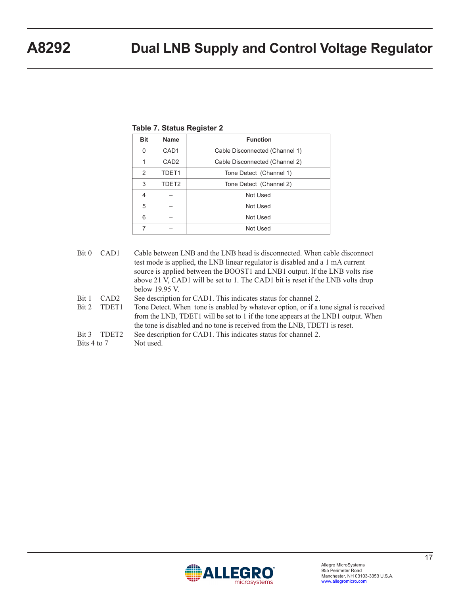| <b>Bit</b> | <b>Name</b>      | <b>Function</b>                |
|------------|------------------|--------------------------------|
| $\Omega$   | CAD <sub>1</sub> | Cable Disconnected (Channel 1) |
| 1          | CAD <sub>2</sub> | Cable Disconnected (Channel 2) |
| 2          | TDET1            | Tone Detect (Channel 1)        |
| 3          | TDET2            | Tone Detect (Channel 2)        |
| 4          |                  | Not Used                       |
| 5          |                  | Not Used                       |
| 6          |                  | Not Used                       |
|            |                  | Not Used                       |

## **Table 7. Status Register 2**

| Bit <sub>0</sub>       | CAD <sub>1</sub>  | Cable between LNB and the LNB head is disconnected. When cable disconnect                                                                                    |
|------------------------|-------------------|--------------------------------------------------------------------------------------------------------------------------------------------------------------|
|                        |                   | test mode is applied, the LNB linear regulator is disabled and a 1 mA current<br>source is applied between the BOOST1 and LNB1 output. If the LNB volts rise |
|                        |                   | above 21 V, CAD1 will be set to 1. The CAD1 bit is reset if the LNB volts drop                                                                               |
|                        |                   | below 19.95 V.                                                                                                                                               |
| Bit 1                  | CAD <sub>2</sub>  | See description for CAD1. This indicates status for channel 2.                                                                                               |
| $\operatorname{Bit} 2$ | TDET1             | Tone Detect. When tone is enabled by whatever option, or if a tone signal is received                                                                        |
|                        |                   | from the LNB, TDET1 will be set to 1 if the tone appears at the LNB1 output. When                                                                            |
|                        |                   | the tone is disabled and no tone is received from the LNB, TDET1 is reset.                                                                                   |
| Bit 3                  | TDET <sub>2</sub> | See description for CAD1. This indicates status for channel 2.                                                                                               |
| Bits 4 to 7            |                   | Not used.                                                                                                                                                    |
|                        |                   |                                                                                                                                                              |

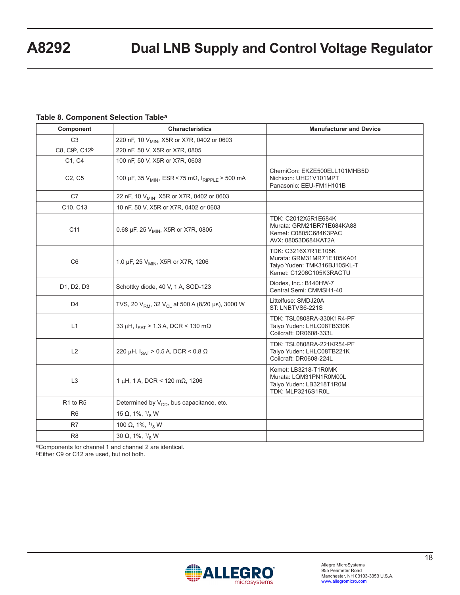### **Table 8. Component Selection Tablea**

| Component                              | <b>Characteristics</b>                                                   | <b>Manufacturer and Device</b>                                                                              |
|----------------------------------------|--------------------------------------------------------------------------|-------------------------------------------------------------------------------------------------------------|
| C <sub>3</sub>                         | 220 nF, 10 V <sub>MIN</sub> , X5R or X7R, 0402 or 0603                   |                                                                                                             |
| C8, C9 <sup>b</sup> , C12 <sup>b</sup> | 220 nF, 50 V, X5R or X7R, 0805                                           |                                                                                                             |
| C1, C4                                 | 100 nF, 50 V, X5R or X7R, 0603                                           |                                                                                                             |
| C <sub>2</sub> , C <sub>5</sub>        | 100 μF, 35 V <sub>MIN</sub> , ESR < 75 mΩ, I <sub>RIPPI F</sub> > 500 mA | ChemiCon: EKZE500ELL101MHB5D<br>Nichicon: UHC1V101MPT<br>Panasonic: EEU-FM1H101B                            |
| C7                                     | 22 nF, 10 V <sub>MIN</sub> , X5R or X7R, 0402 or 0603                    |                                                                                                             |
| C10, C13                               | 10 nF, 50 V, X5R or X7R, 0402 or 0603                                    |                                                                                                             |
| C <sub>11</sub>                        | 0.68 µF, 25 V <sub>MIN</sub> , X5R or X7R, 0805                          | TDK: C2012X5R1E684K<br>Murata: GRM21BR71E684KA88<br>Kemet: C0805C684K3PAC<br>AVX: 08053D684KAT2A            |
| C <sub>6</sub>                         | 1.0 µF, 25 V <sub>MIN</sub> , X5R or X7R, 1206                           | TDK: C3216X7R1E105K<br>Murata: GRM31MR71E105KA01<br>Taiyo Yuden: TMK316BJ105KL-T<br>Kemet: C1206C105K3RACTU |
| D1, D2, D3                             | Schottky diode, 40 V, 1 A, SOD-123                                       | Diodes, Inc.: B140HW-7<br>Central Semi: CMMSH1-40                                                           |
| D <sub>4</sub>                         | TVS, 20 $V_{RM}$ , 32 $V_{CL}$ at 500 A (8/20 µs), 3000 W                | Littelfuse: SMDJ20A<br>ST: LNBTVS6-221S                                                                     |
| L1                                     | 33 µH, $I_{\text{SAT}}$ > 1.3 A, DCR < 130 m $\Omega$                    | TDK: TSL0808RA-330K1R4-PF<br>Taiyo Yuden: LHLC08TB330K<br>Coilcraft: DR0608-333L                            |
| L2                                     | 220 μH, $I_{\text{SAT}}$ > 0.5 A, DCR < 0.8 Ω                            | TDK: TSL0808RA-221KR54-PF<br>Taiyo Yuden: LHLC08TB221K<br>Coilcraft: DR0608-224L                            |
| L3                                     | 1 µH, 1 A, DCR < 120 m $\Omega$ , 1206                                   | Kemet: LB3218-T1R0MK<br>Murata: LQM31PN1R0M00L<br>Taiyo Yuden: LB3218T1R0M<br>TDK: MLP3216S1R0L             |
| R1 to R5                               | Determined by V <sub>DD</sub> , bus capacitance, etc.                    |                                                                                                             |
| R <sub>6</sub>                         | 15 $\Omega$ , 1%, $1\frac{1}{8}$ W                                       |                                                                                                             |
| R7                                     | 100 $\Omega$ , 1%, $^{1}/_{8}$ W                                         |                                                                                                             |
| R <sub>8</sub>                         | 30 $\Omega$ , 1%, $^{1}/_{8}$ W                                          |                                                                                                             |

aComponents for channel 1 and channel 2 are identical. bEither C9 or C12 are used, but not both.

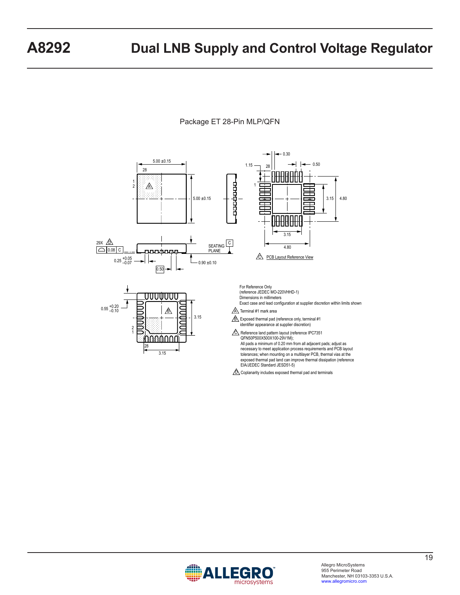

## Package ET 28-Pin MLP/QFN